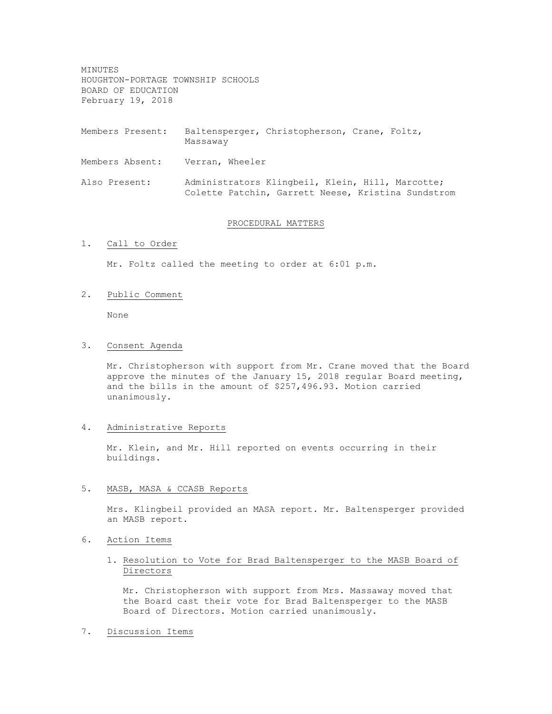MINUTES HOUGHTON-PORTAGE TOWNSHIP SCHOOLS BOARD OF EDUCATION February 19, 2018

Members Present: Baltensperger, Christopherson, Crane, Foltz, Massaway

- Members Absent: Verran, Wheeler
- Also Present: Administrators Klingbeil, Klein, Hill, Marcotte; Colette Patchin, Garrett Neese, Kristina Sundstrom

#### PROCEDURAL MATTERS

# 1. Call to Order

Mr. Foltz called the meeting to order at 6:01 p.m.

## 2. Public Comment

None

#### 3. Consent Agenda

Mr. Christopherson with support from Mr. Crane moved that the Board approve the minutes of the January 15, 2018 regular Board meeting, and the bills in the amount of \$257,496.93. Motion carried unanimously.

### 4. Administrative Reports

Mr. Klein, and Mr. Hill reported on events occurring in their buildings.

# 5. MASB, MASA & CCASB Reports

Mrs. Klingbeil provided an MASA report. Mr. Baltensperger provided an MASB report.

## 6. Action Items

# 1. Resolution to Vote for Brad Baltensperger to the MASB Board of Directors

Mr. Christopherson with support from Mrs. Massaway moved that the Board cast their vote for Brad Baltensperger to the MASB Board of Directors. Motion carried unanimously.

# 7. Discussion Items